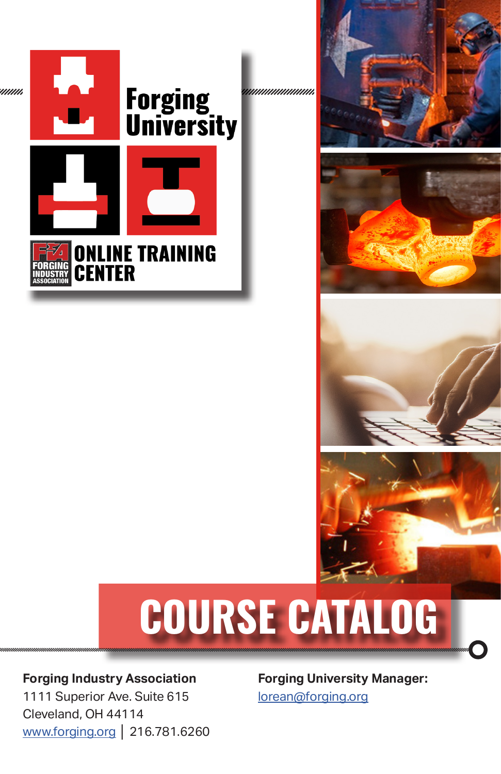

nnnnnnnn









# **COURSE CATALOG**

#### **Forging Industry Association**

1111 Superior Ave. Suite 615 Cleveland, OH 44114 [www.forging.org](http://www.forging.org) **│** 216.781.6260

**Forging University Manager:** lorea[n@forging.org](mailto:lorean%40forging.org?subject=)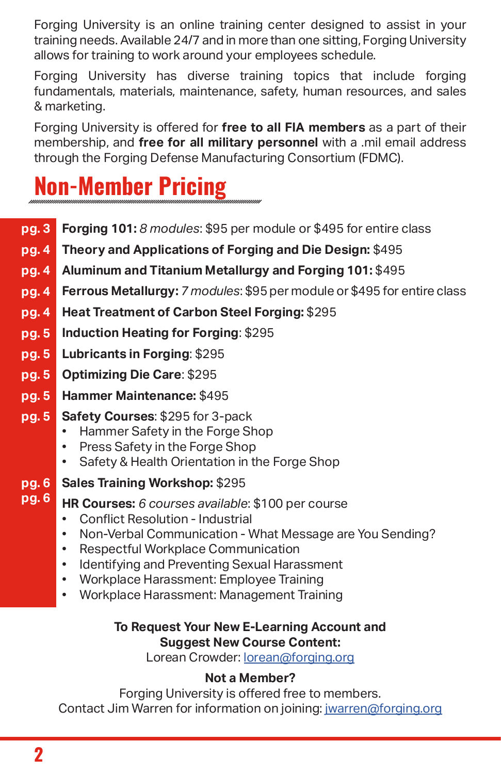Forging University is an online training center designed to assist in your training needs. Available 24/7 and in more than one sitting, Forging University allows for training to work around your employees schedule.

Forging University has diverse training topics that include forging fundamentals, materials, maintenance, safety, human resources, and sales & marketing.

Forging University is offered for **free to all FIA members** as a part of their membership, and **free for all military personnel** with a .mil email address through the Forging Defense Manufacturing Consortium (FDMC).

# **Non-Member Pricing**

- **Forging 101:** *8 modules*: \$95 per module or \$495 for entire class **pg. 3**
- **Theory and Applications of Forging and Die Design:** \$495 **pg. 4**
- **Aluminum and Titanium Metallurgy and Forging 101:** \$495 **pg. 4**
- **Ferrous Metallurgy:** *7 modules*: \$95 per module or \$495 for entire class **pg. 4**
- **Heat Treatment of Carbon Steel Forging:** \$295 **pg. 4**
- **Induction Heating for Forging**: \$295 **pg. 5**
- **Lubricants in Forging**: \$295 **pg. 5**
- **Optimizing Die Care**: \$295 **pg. 5**
- **Hammer Maintenance:** \$495 **pg. 5**
- **Safety Courses**: \$295 for 3-pack **pg. 5**
	- Hammer Safety in the Forge Shop
	- Press Safety in the Forge Shop<br>• Safety & Health Orientation in the
	- Safety & Health Orientation in the Forge Shop
- **Sales Training Workshop:** \$295 **pg. 6**
- **HR Courses:** *6 courses available*: \$100 per course **pg. 6**
	- Conflict Resolution Industrial<br>• Non-Verbal Communication V
	- Non-Verbal Communication What Message are You Sending?
	- Respectful Workplace Communication<br>• Identifying and Preventing Sexual Haras
	- Identifying and Preventing Sexual Harassment
	- Workplace Harassment: Employee Training
	- Workplace Harassment: Management Training

#### **To Request Your New E-Learning Account and Suggest New Course Content:**

Lorean Crowder: [lorean@forging.org](mailto:lorean@forging.org)

#### **Not a Member?**

Forging University is offered free to members. Contact Jim Warren for information on joining: jwarren[@forging.org](mailto:jwarren%40forging.org?subject=)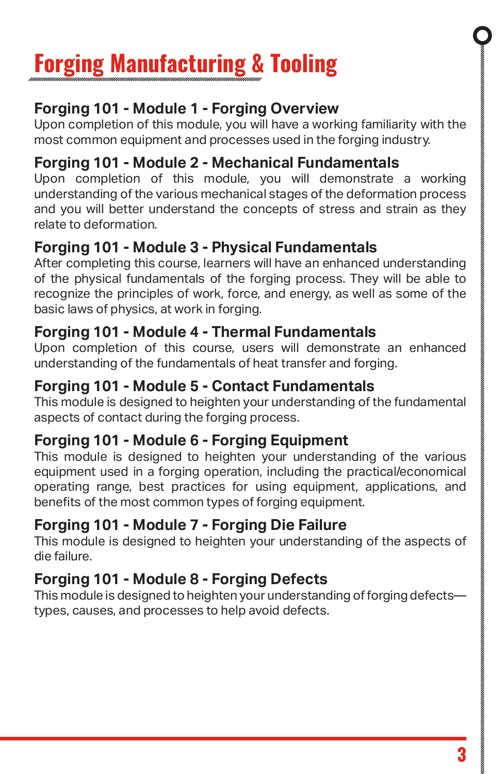# **Forging Manufacturing & Tooling**

#### **Forging 101 - Module 1 - Forging Overview**

Upon completion of this module, you will have a working familiarity with the most common equipment and processes used in the forging industry.

#### **Forging 101 - Module 2 - Mechanical Fundamentals**

Upon completion of this module, you will demonstrate a working understanding of the various mechanical stages of the deformation process and you will better understand the concepts of stress and strain as they relate to deformation.

#### **Forging 101 - Module 3 - Physical Fundamentals**

After completing this course, learners will have an enhanced understanding of the physical fundamentals of the forging process. They will be able to recognize the principles of work, force, and energy, as well as some of the basic laws of physics, at work in forging.

#### **Forging 101 - Module 4 - Thermal Fundamentals**

Upon completion of this course, users will demonstrate an enhanced understanding of the fundamentals of heat transfer and forging.

#### **Forging 101 - Module 5 - Contact Fundamentals**

This module is designed to heighten your understanding of the fundamental aspects of contact during the forging process.

#### **Forging 101 - Module 6 - Forging Equipment**

This module is designed to heighten your understanding of the various equipment used in a forging operation, including the practical/economical operating range, best practices for using equipment, applications, and benefits of the most common types of forging equipment.

#### **Forging 101 - Module 7 - Forging Die Failure**

This module is designed to heighten your understanding of the aspects of die failure.

#### **Forging 101 - Module 8 - Forging Defects**

This module is designed to heighten your understanding of forging defects types, causes, and processes to help avoid defects.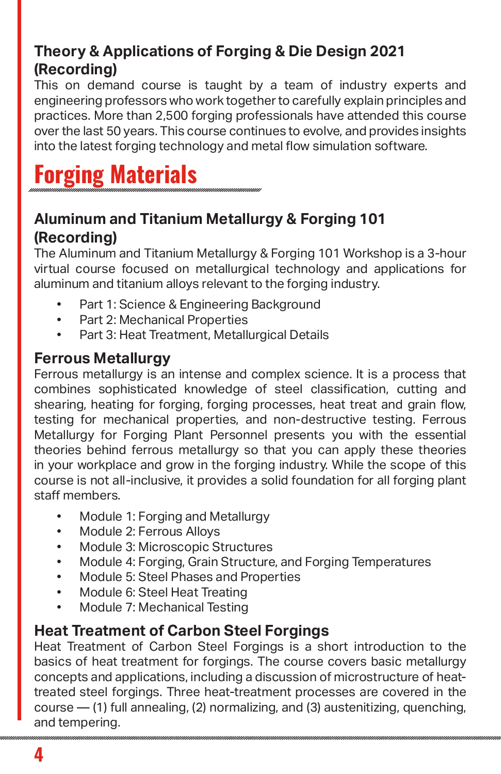#### **Theory & Applications of Forging & Die Design 2021 (Recording)**

This on demand course is taught by a team of industry experts and engineering professors who work together to carefully explain principles and practices. More than 2,500 forging professionals have attended this course over the last 50 years. This course continues to evolve, and provides insights into the latest forging technology and metal flow simulation software.

# **Forging Materials**

#### **Aluminum and Titanium Metallurgy & Forging 101 (Recording)**

The Aluminum and Titanium Metallurgy & Forging 101 Workshop is a 3-hour virtual course focused on metallurgical technology and applications for aluminum and titanium alloys relevant to the forging industry.

- Part 1: Science & Engineering Background
- Part 2: Mechanical Properties
- Part 3: Heat Treatment, Metallurgical Details

#### **Ferrous Metallurgy**

Ferrous metallurgy is an intense and complex science. It is a process that combines sophisticated knowledge of steel classification, cutting and shearing, heating for forging, forging processes, heat treat and grain flow, testing for mechanical properties, and non-destructive testing. Ferrous Metallurgy for Forging Plant Personnel presents you with the essential theories behind ferrous metallurgy so that you can apply these theories in your workplace and grow in the forging industry. While the scope of this course is not all-inclusive, it provides a solid foundation for all forging plant staff members.

- Module 1: Forging and Metallurgy
- Module 2: Ferrous Alloys
- Module 3: Microscopic Structures
- Module 4: Forging, Grain Structure, and Forging Temperatures
- Module 5: Steel Phases and Properties
- Module 6: Steel Heat Treating<br>• Module 7: Mechanical Testing
- Module 7: Mechanical Testing

#### **Heat Treatment of Carbon Steel Forgings**

Heat Treatment of Carbon Steel Forgings is a short introduction to the basics of heat treatment for forgings. The course covers basic metallurgy concepts and applications, including a discussion of microstructure of heattreated steel forgings. Three heat-treatment processes are covered in the course  $-$  (1) full annealing, (2) normalizing, and (3) austenitizing, quenching, and tempering.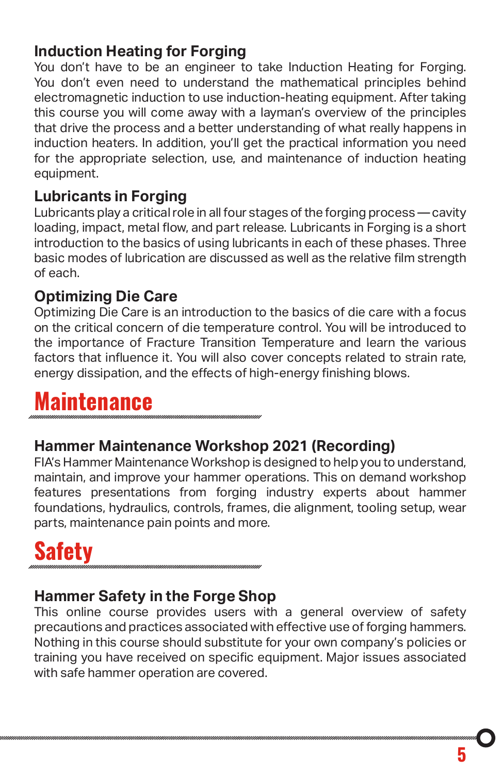#### **Induction Heating for Forging**

You don't have to be an engineer to take Induction Heating for Forging. You don't even need to understand the mathematical principles behind electromagnetic induction to use induction-heating equipment. After taking this course you will come away with a layman's overview of the principles that drive the process and a better understanding of what really happens in induction heaters. In addition, you'll get the practical information you need for the appropriate selection, use, and maintenance of induction heating equipment.

#### **Lubricants in Forging**

Lubricants play a critical role in all four stages of the forging process — cavity loading, impact, metal flow, and part release. Lubricants in Forging is a short introduction to the basics of using lubricants in each of these phases. Three basic modes of lubrication are discussed as well as the relative film strength of each.

#### **Optimizing Die Care**

Optimizing Die Care is an introduction to the basics of die care with a focus on the critical concern of die temperature control. You will be introduced to the importance of Fracture Transition Temperature and learn the various factors that influence it. You will also cover concepts related to strain rate, energy dissipation, and the effects of high-energy finishing blows.

### **Maintenance**

#### **Hammer Maintenance Workshop 2021 (Recording)**

FIA's Hammer Maintenance Workshop is designed to help you to understand, maintain, and improve your hammer operations. This on demand workshop features presentations from forging industry experts about hammer foundations, hydraulics, controls, frames, die alignment, tooling setup, wear parts, maintenance pain points and more.

# **Safety**

#### **Hammer Safety in the Forge Shop**

This online course provides users with a general overview of safety precautions and practices associated with effective use of forging hammers. Nothing in this course should substitute for your own company's policies or training you have received on specific equipment. Major issues associated with safe hammer operation are covered.

**5**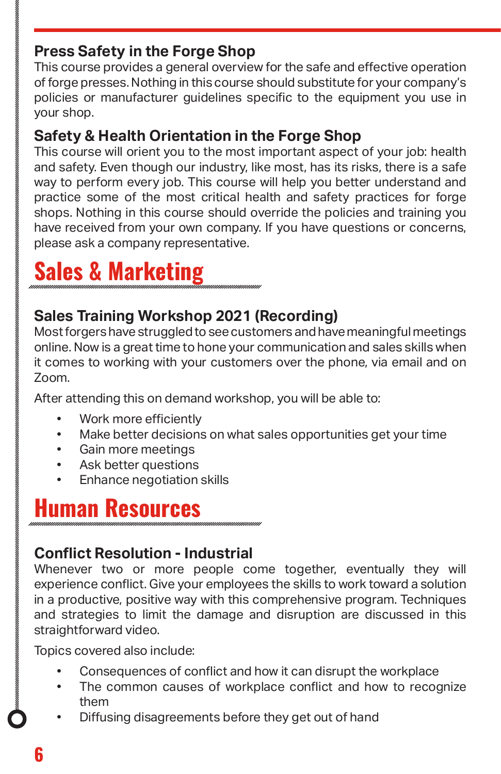#### **Press Safety in the Forge Shop**

This course provides a general overview for the safe and effective operation of forge presses. Nothing in this course should substitute for your company's policies or manufacturer guidelines specific to the equipment you use in your shop.

#### **Safety & Health Orientation in the Forge Shop**

This course will orient you to the most important aspect of your job: health and safety. Even though our industry, like most, has its risks, there is a safe way to perform every job. This course will help you better understand and practice some of the most critical health and safety practices for forge shops. Nothing in this course should override the policies and training you have received from your own company. If you have questions or concerns, please ask a company representative.

# **Sales & Marketing**

#### **Sales Training Workshop 2021 (Recording)**

Most forgers have struggled to see customers and have meaningful meetings online. Now is a great time to hone your communication and sales skills when it comes to working with your customers over the phone, via email and on Zoom.

After attending this on demand workshop, you will be able to:

- Work more efficiently
- Make better decisions on what sales opportunities get your time
- Gain more meetings
- Ask better questions
- Enhance negotiation skills

### **Human Resources**

#### **Conflict Resolution - Industrial**

Whenever two or more people come together, eventually they will experience conflict. Give your employees the skills to work toward a solution in a productive, positive way with this comprehensive program. Techniques and strategies to limit the damage and disruption are discussed in this straightforward video.

Topics covered also include:

- Consequences of conflict and how it can disrupt the workplace
- The common causes of workplace conflict and how to recognize them
- Diffusing disagreements before they get out of hand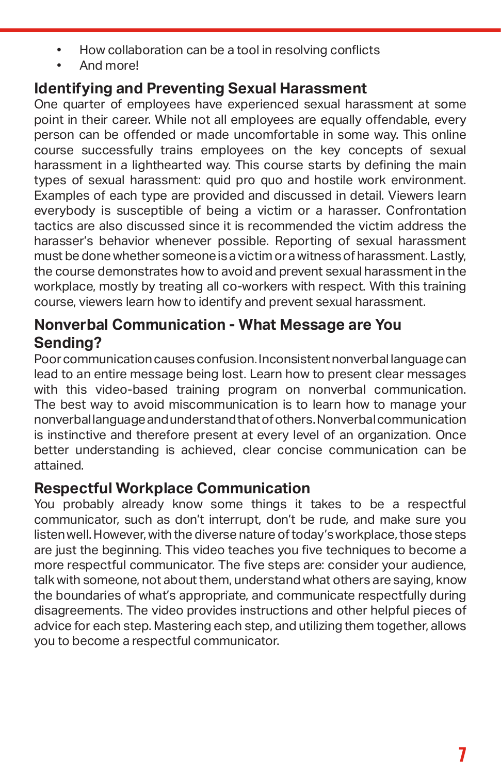- How collaboration can be a tool in resolving conflicts
- And more!

#### **Identifying and Preventing Sexual Harassment**

One quarter of employees have experienced sexual harassment at some point in their career. While not all employees are equally offendable, every person can be offended or made uncomfortable in some way. This online course successfully trains employees on the key concepts of sexual harassment in a lighthearted way. This course starts by defining the main types of sexual harassment: quid pro quo and hostile work environment. Examples of each type are provided and discussed in detail. Viewers learn everybody is susceptible of being a victim or a harasser. Confrontation tactics are also discussed since it is recommended the victim address the harasser's behavior whenever possible. Reporting of sexual harassment must be done whether someone is a victim or a witness of harassment. Lastly, the course demonstrates how to avoid and prevent sexual harassment in the workplace, mostly by treating all co-workers with respect. With this training course, viewers learn how to identify and prevent sexual harassment.

#### **Nonverbal Communication - What Message are You Sending?**

Poor communication causes confusion. Inconsistent nonverbal language can lead to an entire message being lost. Learn how to present clear messages with this video-based training program on nonverbal communication. The best way to avoid miscommunication is to learn how to manage your nonverbal language and understand that of others. Nonverbal communication is instinctive and therefore present at every level of an organization. Once better understanding is achieved, clear concise communication can be attained.

#### **Respectful Workplace Communication**

You probably already know some things it takes to be a respectful communicator, such as don't interrupt, don't be rude, and make sure you listen well. However, with the diverse nature of today's workplace, those steps are just the beginning. This video teaches you five techniques to become a more respectful communicator. The five steps are: consider your audience, talk with someone, not about them, understand what others are saying, know the boundaries of what's appropriate, and communicate respectfully during disagreements. The video provides instructions and other helpful pieces of advice for each step. Mastering each step, and utilizing them together, allows you to become a respectful communicator.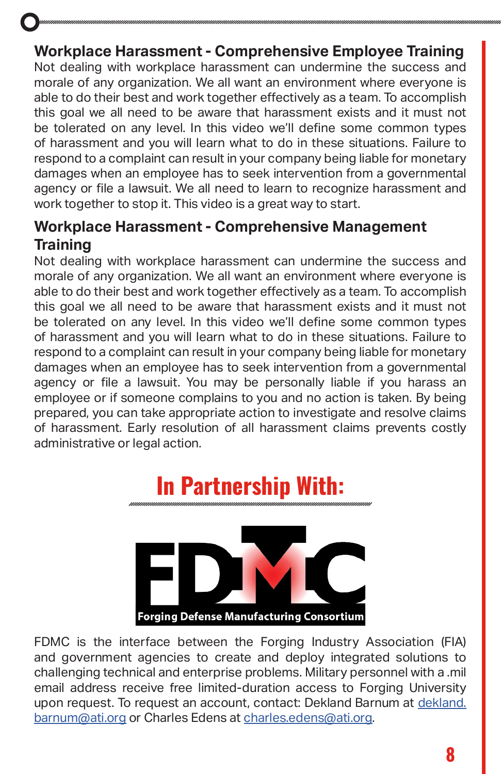#### **Workplace Harassment - Comprehensive Employee Training**

Not dealing with workplace harassment can undermine the success and morale of any organization. We all want an environment where everyone is able to do their best and work together effectively as a team. To accomplish this goal we all need to be aware that harassment exists and it must not be tolerated on any level. In this video we'll define some common types of harassment and you will learn what to do in these situations. Failure to respond to a complaint can result in your company being liable for monetary damages when an employee has to seek intervention from a governmental agency or file a lawsuit. We all need to learn to recognize harassment and work together to stop it. This video is a great way to start.

#### **Workplace Harassment - Comprehensive Management Training**

Not dealing with workplace harassment can undermine the success and morale of any organization. We all want an environment where everyone is able to do their best and work together effectively as a team. To accomplish this goal we all need to be aware that harassment exists and it must not be tolerated on any level. In this video we'll define some common types of harassment and you will learn what to do in these situations. Failure to respond to a complaint can result in your company being liable for monetary damages when an employee has to seek intervention from a governmental agency or file a lawsuit. You may be personally liable if you harass an employee or if someone complains to you and no action is taken. By being prepared, you can take appropriate action to investigate and resolve claims of harassment. Early resolution of all harassment claims prevents costly administrative or legal action.

# **In Partnership With:**



FDMC is the interface between the Forging Industry Association (FIA) and government agencies to create and deploy integrated solutions to challenging technical and enterprise problems. Military personnel with a .mil email address receive free limited-duration access to Forging University upon request. To request an account, contact: Dekland Barnum at [dekland.](mailto:dekland.barnum@ati.org) [barnum@ati.org](mailto:dekland.barnum@ati.org) or Charles Edens at [charles.edens@ati.org](mailto:charles.edens@ati.org).